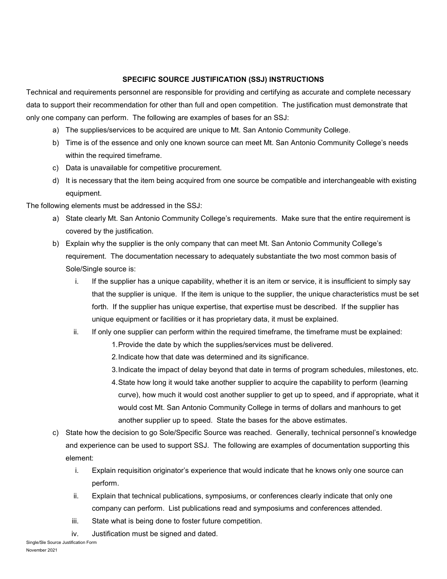## **SPECIFIC SOURCE JUSTIFICATION (SSJ) INSTRUCTIONS**

 only one company can perform. The following are examples of bases for an SSJ: Technical and requirements personnel are responsible for providing and certifying as accurate and complete necessary data to support their recommendation for other than full and open competition. The justification must demonstrate that

- a) The supplies/services to be acquired are unique to Mt. San Antonio Community College.
- b) Time is of the essence and only one known source can meet Mt. San Antonio Community College's needs within the required timeframe.
- c) Data is unavailable for competitive procurement.
- d) It is necessary that the item being acquired from one source be compatible and interchangeable with existing equipment.

The following elements must be addressed in the SSJ:

- a) State clearly Mt. San Antonio Community College's requirements. Make sure that the entire requirement is covered by the justification.
- b) Explain why the supplier is the only company that can meet Mt. San Antonio Community College's requirement. The documentation necessary to adequately substantiate the two most common basis of Sole/Single source is:
	- i. If the supplier has a unique capability, whether it is an item or service, it is insufficient to simply say that the supplier is unique. If the item is unique to the supplier, the unique characteristics must be set forth. If the supplier has unique expertise, that expertise must be described. If the supplier has unique equipment or facilities or it has proprietary data, it must be explained.
	- ii. If only one supplier can perform within the required timeframe, the timeframe must be explained: 1.Provide the date by which the supplies/services must be delivered.
		- 2.Indicate how that date was determined and its significance.
		- 3.Indicate the impact of delay beyond that date in terms of program schedules, milestones, etc.
		- curve), how much it would cost another supplier to get up to speed, and if appropriate, what it 4.State how long it would take another supplier to acquire the capability to perform (learning would cost Mt. San Antonio Community College in terms of dollars and manhours to get another supplier up to speed. State the bases for the above estimates.
- and experience can be used to support SSJ. The following are examples of documentation supporting this c) State how the decision to go Sole/Specific Source was reached. Generally, technical personnel's knowledge element:
	- i. Explain requisition originator's experience that would indicate that he knows only one source can perform.
	- ii. Explain that technical publications, symposiums, or conferences clearly indicate that only one company can perform. List publications read and symposiums and conferences attended.
	- iii. State what is being done to foster future competition.
	- iv. Justification must be signed and dated.